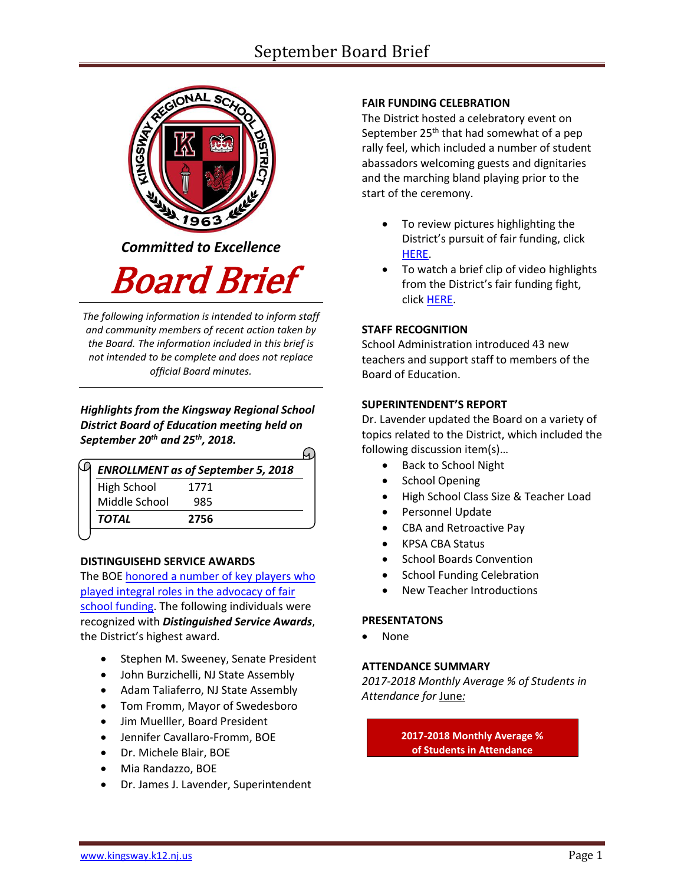

*Committed to Excellence*

Board Brief

*The following information is intended to inform staff and community members of recent action taken by the Board. The information included in this brief is not intended to be complete and does not replace official Board minutes.*

*Highlights from the Kingsway Regional School District Board of Education meeting held on September 20th and 25th, 2018.*   $\overline{\phantom{0}}$ 

| <b>ENROLLMENT as of September 5, 2018</b> |      |  |  |
|-------------------------------------------|------|--|--|
| High School                               | 1771 |  |  |
| Middle School                             | 985  |  |  |
| TOTAL                                     | 2756 |  |  |

# **DISTINGUISEHD SERVICE AWARDS**

The BOE honored [a number of key players who](https://www.krsd.org/cms/lib/NJ01912751/Centricity/Domain/4/Kingsway%20honors%20key%20individuals%20in%20fair%20funding%20fight.pdf)  [played integral roles in the advocacy of fair](https://www.krsd.org/cms/lib/NJ01912751/Centricity/Domain/4/Kingsway%20honors%20key%20individuals%20in%20fair%20funding%20fight.pdf)  [school funding.](https://www.krsd.org/cms/lib/NJ01912751/Centricity/Domain/4/Kingsway%20honors%20key%20individuals%20in%20fair%20funding%20fight.pdf) The following individuals were recognized with *Distinguished Service Awards*, the District's highest award.

- Stephen M. Sweeney, Senate President
- John Burzichelli, NJ State Assembly
- Adam Taliaferro, NJ State Assembly
- Tom Fromm, Mayor of Swedesboro
- Jim Muelller, Board President
- Jennifer Cavallaro-Fromm, BOE
- Dr. Michele Blair, BOE
- Mia Randazzo, BOE
- Dr. James J. Lavender, Superintendent

# **FAIR FUNDING CELEBRATION**

The District hosted a celebratory event on September  $25<sup>th</sup>$  that had somewhat of a pep rally feel, which included a number of student abassadors welcoming guests and dignitaries and the marching bland playing prior to the start of the ceremony.

- To review pictures highlighting the District's pursuit of fair funding, click [HERE.](https://ensemble.kingsway.k12.nj.us/Watch/fairfundingcel092518ppt)
- To watch a brief clip of video highlights from the District's fair funding fight, click [HERE.](https://ensemble.kingsway.k12.nj.us/Watch/fairfundingcel092518)

# **STAFF RECOGNITION**

School Administration introduced 43 new teachers and support staff to members of the Board of Education.

# **SUPERINTENDENT'S REPORT**

Dr. Lavender updated the Board on a variety of topics related to the District, which included the following discussion item(s)…

- Back to School Night
- School Opening
- High School Class Size & Teacher Load
- Personnel Update
- CBA and Retroactive Pay
- KPSA CBA Status
- School Boards Convention
- School Funding Celebration
- New Teacher Introductions

# **PRESENTATONS**

None

## **ATTENDANCE SUMMARY**

*2017-2018 Monthly Average % of Students in Attendance for* June*:*

> **2017-2018 Monthly Average % of Students in Attendance**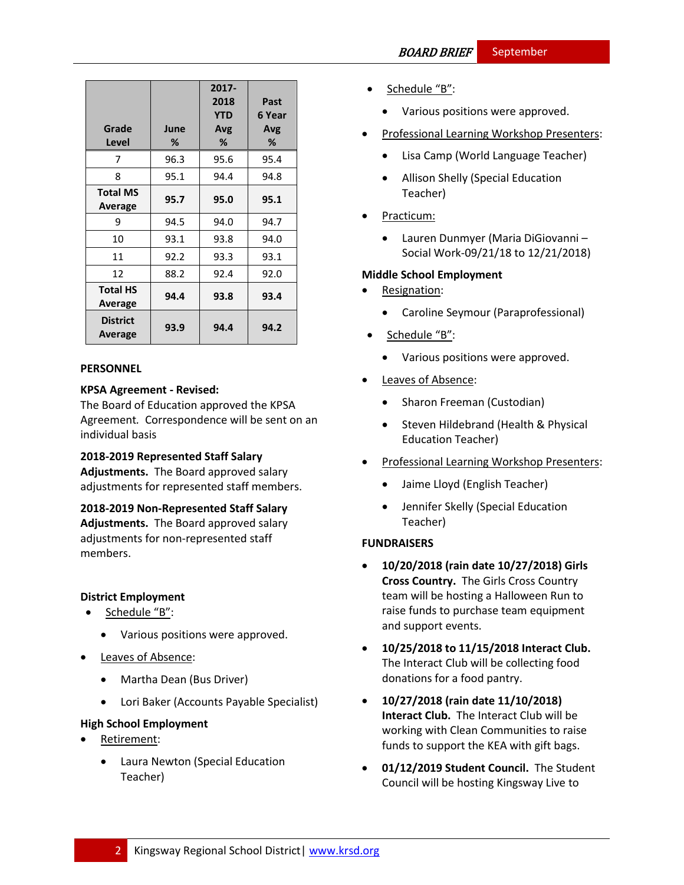| Grade<br>Level             | June<br>℅ | 2017-<br>2018<br><b>YTD</b><br>Avg<br>% | Past<br>6 Year<br>Avg<br>% |
|----------------------------|-----------|-----------------------------------------|----------------------------|
| 7                          | 96.3      | 95.6                                    | 95.4                       |
| 8                          | 95.1      | 94.4                                    | 94.8                       |
| <b>Total MS</b><br>Average | 95.7      | 95.0                                    | 95.1                       |
| 9                          | 94.5      | 94.0                                    | 94.7                       |
| 10                         | 93.1      | 93.8                                    | 94.0                       |
| 11                         | 92.2      | 93.3                                    | 93.1                       |
| 12                         | 88.2      | 92.4                                    | 92.0                       |
| <b>Total HS</b><br>Average | 94.4      | 93.8                                    | 93.4                       |
| <b>District</b><br>Average | 93.9      | 94.4                                    | 94.2                       |

## **PERSONNEL**

## **KPSA Agreement - Revised:**

The Board of Education approved the KPSA Agreement*.* Correspondence will be sent on an individual basis

## **2018-2019 Represented Staff Salary**

**Adjustments.** The Board approved salary adjustments for represented staff members.

**2018-2019 Non-Represented Staff Salary Adjustments.** The Board approved salary adjustments for non-represented staff members.

# **District Employment**

- Schedule "B":
	- Various positions were approved.
- Leaves of Absence:
	- Martha Dean (Bus Driver)
	- Lori Baker (Accounts Payable Specialist)

## **High School Employment**

- Retirement:
	- Laura Newton (Special Education Teacher)
- Schedule "B":
	- Various positions were approved.
- Professional Learning Workshop Presenters:
	- Lisa Camp (World Language Teacher)
	- Allison Shelly (Special Education Teacher)
- Practicum:
	- Lauren Dunmyer (Maria DiGiovanni Social Work-09/21/18 to 12/21/2018)

## **Middle School Employment**

- Resignation:
	- Caroline Seymour (Paraprofessional)
- Schedule "B":
	- Various positions were approved.
- Leaves of Absence:
	- Sharon Freeman (Custodian)
	- Steven Hildebrand (Health & Physical Education Teacher)
- Professional Learning Workshop Presenters:
	- Jaime Lloyd (English Teacher)
	- Jennifer Skelly (Special Education Teacher)

## **FUNDRAISERS**

- **10/20/2018 (rain date 10/27/2018) Girls Cross Country.** The Girls Cross Country team will be hosting a Halloween Run to raise funds to purchase team equipment and support events.
- **10/25/2018 to 11/15/2018 Interact Club.** The Interact Club will be collecting food donations for a food pantry.
- **10/27/2018 (rain date 11/10/2018) Interact Club.** The Interact Club will be working with Clean Communities to raise funds to support the KEA with gift bags.
- **01/12/2019 Student Council.** The Student Council will be hosting Kingsway Live to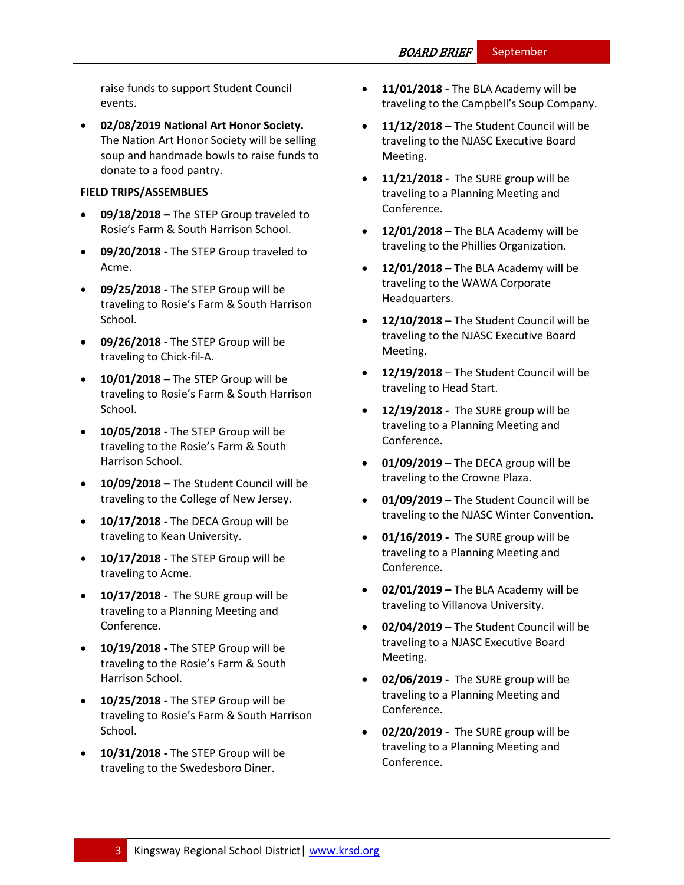raise funds to support Student Council events.

 **02/08/2019 National Art Honor Society.** The Nation Art Honor Society will be selling soup and handmade bowls to raise funds to donate to a food pantry.

### **FIELD TRIPS/ASSEMBLIES**

- **09/18/2018 –** The STEP Group traveled to Rosie's Farm & South Harrison School.
- **09/20/2018 -** The STEP Group traveled to Acme.
- **09/25/2018 -** The STEP Group will be traveling to Rosie's Farm & South Harrison School.
- **09/26/2018 -** The STEP Group will be traveling to Chick-fil-A.
- **10/01/2018 –** The STEP Group will be traveling to Rosie's Farm & South Harrison School.
- **10/05/2018 -** The STEP Group will be traveling to the Rosie's Farm & South Harrison School.
- **10/09/2018 –** The Student Council will be traveling to the College of New Jersey.
- **10/17/2018 -** The DECA Group will be traveling to Kean University.
- **10/17/2018 -** The STEP Group will be traveling to Acme.
- **10/17/2018 -** The SURE group will be traveling to a Planning Meeting and Conference.
- **10/19/2018 -** The STEP Group will be traveling to the Rosie's Farm & South Harrison School.
- **10/25/2018 -** The STEP Group will be traveling to Rosie's Farm & South Harrison School.
- **10/31/2018 -** The STEP Group will be traveling to the Swedesboro Diner.
- **11/01/2018 -** The BLA Academy will be traveling to the Campbell's Soup Company.
- **11/12/2018 –** The Student Council will be traveling to the NJASC Executive Board Meeting.
- **11/21/2018 -** The SURE group will be traveling to a Planning Meeting and Conference.
- **12/01/2018 –** The BLA Academy will be traveling to the Phillies Organization.
- **12/01/2018 –** The BLA Academy will be traveling to the WAWA Corporate Headquarters.
- **12/10/2018** The Student Council will be traveling to the NJASC Executive Board Meeting.
- **12/19/2018** The Student Council will be traveling to Head Start.
- **12/19/2018 -** The SURE group will be traveling to a Planning Meeting and Conference.
- **01/09/2019** The DECA group will be traveling to the Crowne Plaza.
- **01/09/2019**  The Student Council will be traveling to the NJASC Winter Convention.
- **01/16/2019 -** The SURE group will be traveling to a Planning Meeting and Conference.
- **02/01/2019 –** The BLA Academy will be traveling to Villanova University.
- **02/04/2019 –** The Student Council will be traveling to a NJASC Executive Board Meeting.
- **02/06/2019 -** The SURE group will be traveling to a Planning Meeting and Conference.
- **02/20/2019 -** The SURE group will be traveling to a Planning Meeting and Conference.